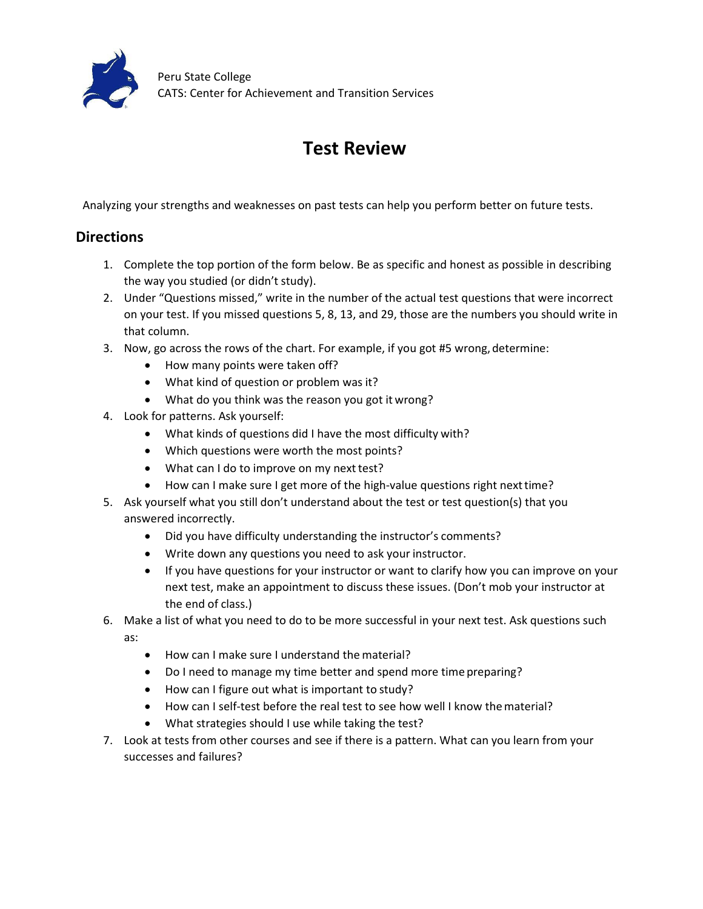

## **Test Review**

Analyzing your strengths and weaknesses on past tests can help you perform better on future tests.

## **Directions**

- 1. Complete the top portion of the form below. Be as specific and honest as possible in describing the way you studied (or didn't study).
- 2. Under "Questions missed," write in the number of the actual test questions that were incorrect on your test. If you missed questions 5, 8, 13, and 29, those are the numbers you should write in that column.
- 3. Now, go across the rows of the chart. For example, if you got #5 wrong, determine:
	- · How many points were taken off?
	- · What kind of question or problem was it?
	- · What do you think was the reason you got it wrong?
- 4. Look for patterns. Ask yourself:
	- · What kinds of questions did I have the most difficulty with?
	- · Which questions were worth the most points?
	- What can I do to improve on my next test?
	- How can I make sure I get more of the high-value questions right next time?
- 5. Ask yourself what you still don't understand about the test or test question(s) that you answered incorrectly.
	- · Did you have difficulty understanding the instructor's comments?
	- · Write down any questions you need to ask your instructor.
	- · If you have questions for your instructor or want to clarify how you can improve on your next test, make an appointment to discuss these issues. (Don't mob your instructor at the end of class.)
- 6. Make a list of what you need to do to be more successful in your next test. Ask questions such as:
	- · How can I make sure I understand thematerial?
	- · Do I need to manage my time better and spend more time preparing?
	- · How can I figure out what is important to study?
	- · How can I self-test before the real test to see how well I know thematerial?
	- · What strategies should I use while taking the test?
- 7. Look at tests from other courses and see if there is a pattern. What can you learn from your successes and failures?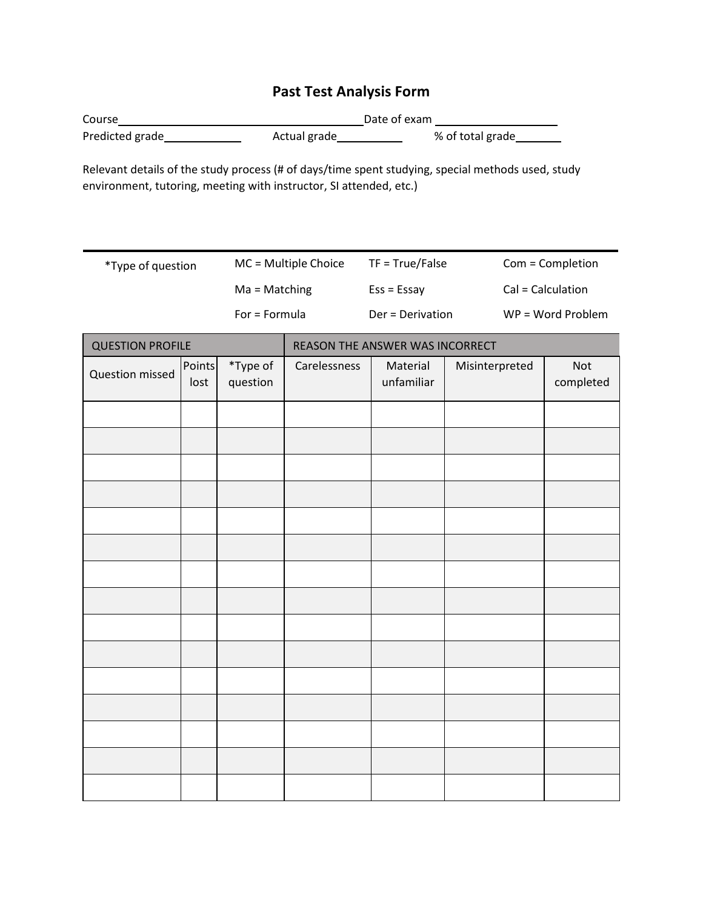## **Past Test Analysis Form**

| Course          |              | Date of exam     |  |  |
|-----------------|--------------|------------------|--|--|
| Predicted grade | Actual grade | % of total grade |  |  |

Relevant details of the study process (# of days/time spent studying, special methods used, study environment, tutoring, meeting with instructor, SI attended, etc.)

| *Type of question | $MC = Multiple Choice$ | $TF = True/False$ | Com = Completion    |
|-------------------|------------------------|-------------------|---------------------|
|                   | $Ma = Matching$        | $Ess = Essav$     | Cal = Calculation   |
|                   | For = Formula          | Der = Derivation  | $WP = Word Problem$ |

| <b>QUESTION PROFILE</b> |                | REASON THE ANSWER WAS INCORRECT |              |                        |                |                  |
|-------------------------|----------------|---------------------------------|--------------|------------------------|----------------|------------------|
| Question missed         | Points<br>lost | *Type of<br>question            | Carelessness | Material<br>unfamiliar | Misinterpreted | Not<br>completed |
|                         |                |                                 |              |                        |                |                  |
|                         |                |                                 |              |                        |                |                  |
|                         |                |                                 |              |                        |                |                  |
|                         |                |                                 |              |                        |                |                  |
|                         |                |                                 |              |                        |                |                  |
|                         |                |                                 |              |                        |                |                  |
|                         |                |                                 |              |                        |                |                  |
|                         |                |                                 |              |                        |                |                  |
|                         |                |                                 |              |                        |                |                  |
|                         |                |                                 |              |                        |                |                  |
|                         |                |                                 |              |                        |                |                  |
|                         |                |                                 |              |                        |                |                  |
|                         |                |                                 |              |                        |                |                  |
|                         |                |                                 |              |                        |                |                  |
|                         |                |                                 |              |                        |                |                  |